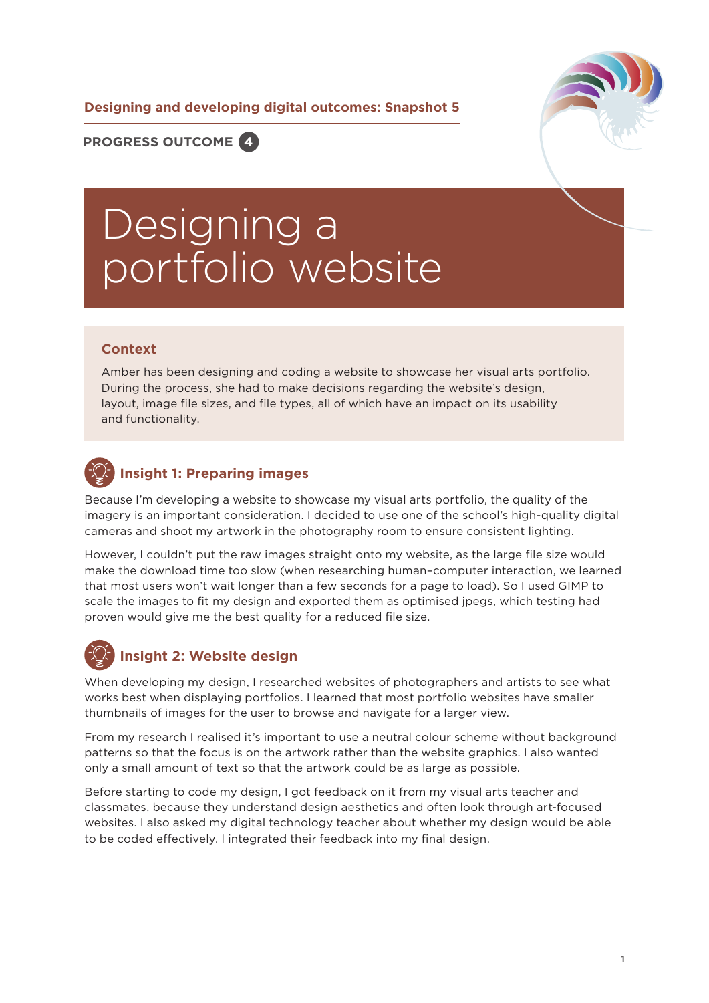**Designing and developing digital outcomes: Snapshot 5**



**PROGRESS OUTCOME 4**

# Designing a portfolio website

### **Context**

Amber has been designing and coding a website to showcase her visual arts portfolio. During the process, she had to make decisions regarding the website's design, layout, image file sizes, and file types, all of which have an impact on its usability and functionality.

# **Insight 1: Preparing images**

Because I'm developing a website to showcase my visual arts portfolio, the quality of the imagery is an important consideration. I decided to use one of the school's high-quality digital cameras and shoot my artwork in the photography room to ensure consistent lighting.

However, I couldn't put the raw images straight onto my website, as the large file size would make the download time too slow (when researching human–computer interaction, we learned that most users won't wait longer than a few seconds for a page to load). So I used GIMP to scale the images to fit my design and exported them as optimised jpegs, which testing had proven would give me the best quality for a reduced file size.

# **Insight 2: Website design**

When developing my design, I researched websites of photographers and artists to see what works best when displaying portfolios. I learned that most portfolio websites have smaller thumbnails of images for the user to browse and navigate for a larger view.

From my research I realised it's important to use a neutral colour scheme without background patterns so that the focus is on the artwork rather than the website graphics. I also wanted only a small amount of text so that the artwork could be as large as possible.

Before starting to code my design, I got feedback on it from my visual arts teacher and classmates, because they understand design aesthetics and often look through art-focused websites. I also asked my digital technology teacher about whether my design would be able to be coded effectively. I integrated their feedback into my final design.